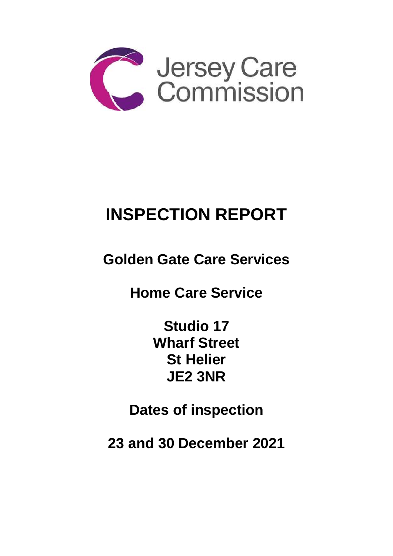

# **INSPECTION REPORT**

**Golden Gate Care Services**

**Home Care Service**

**Studio 17 Wharf Street St Helier JE2 3NR** 

**Dates of inspection**

**23 and 30 December 2021**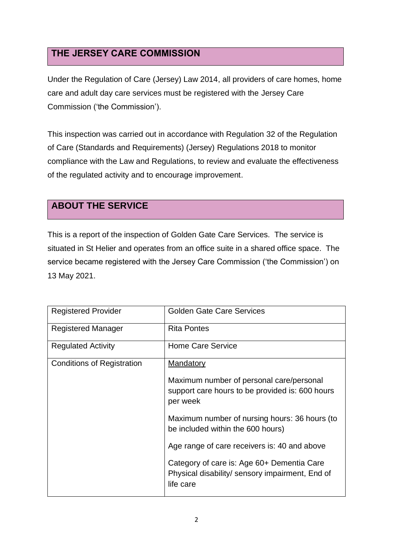## **THE JERSEY CARE COMMISSION**

Under the Regulation of Care (Jersey) Law 2014, all providers of care homes, home care and adult day care services must be registered with the Jersey Care Commission ('the Commission').

This inspection was carried out in accordance with Regulation 32 of the Regulation of Care (Standards and Requirements) (Jersey) Regulations 2018 to monitor compliance with the Law and Regulations, to review and evaluate the effectiveness of the regulated activity and to encourage improvement.

## **ABOUT THE SERVICE**

This is a report of the inspection of Golden Gate Care Services. The service is situated in St Helier and operates from an office suite in a shared office space. The service became registered with the Jersey Care Commission ('the Commission') on 13 May 2021.

| <b>Registered Provider</b>        | <b>Golden Gate Care Services</b>                                                                           |
|-----------------------------------|------------------------------------------------------------------------------------------------------------|
| <b>Registered Manager</b>         | <b>Rita Pontes</b>                                                                                         |
| <b>Regulated Activity</b>         | <b>Home Care Service</b>                                                                                   |
| <b>Conditions of Registration</b> | <b>Mandatory</b>                                                                                           |
|                                   | Maximum number of personal care/personal<br>support care hours to be provided is: 600 hours<br>per week    |
|                                   | Maximum number of nursing hours: 36 hours (to<br>be included within the 600 hours)                         |
|                                   | Age range of care receivers is: 40 and above                                                               |
|                                   | Category of care is: Age 60+ Dementia Care<br>Physical disability/ sensory impairment, End of<br>life care |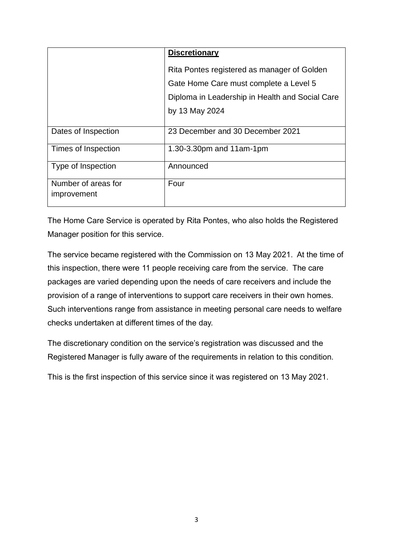|                                    | <b>Discretionary</b>                                                                  |
|------------------------------------|---------------------------------------------------------------------------------------|
|                                    | Rita Pontes registered as manager of Golden<br>Gate Home Care must complete a Level 5 |
|                                    | Diploma in Leadership in Health and Social Care                                       |
|                                    | by 13 May 2024                                                                        |
| Dates of Inspection                | 23 December and 30 December 2021                                                      |
| Times of Inspection                | 1.30-3.30pm and 11am-1pm                                                              |
| Type of Inspection                 | Announced                                                                             |
| Number of areas for<br>improvement | Four                                                                                  |

The Home Care Service is operated by Rita Pontes, who also holds the Registered Manager position for this service.

The service became registered with the Commission on 13 May 2021. At the time of this inspection, there were 11 people receiving care from the service. The care packages are varied depending upon the needs of care receivers and include the provision of a range of interventions to support care receivers in their own homes. Such interventions range from assistance in meeting personal care needs to welfare checks undertaken at different times of the day.

The discretionary condition on the service's registration was discussed and the Registered Manager is fully aware of the requirements in relation to this condition.

This is the first inspection of this service since it was registered on 13 May 2021.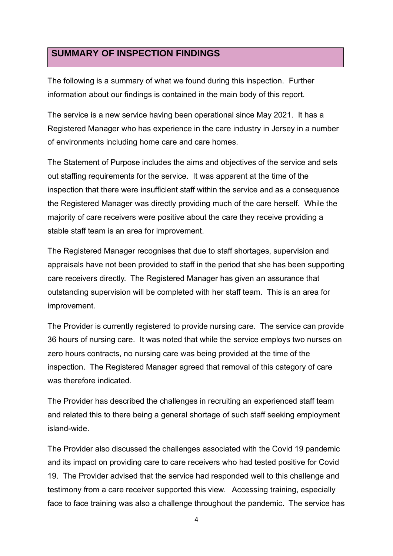### **SUMMARY OF INSPECTION FINDINGS**

The following is a summary of what we found during this inspection. Further information about our findings is contained in the main body of this report.

The service is a new service having been operational since May 2021. It has a Registered Manager who has experience in the care industry in Jersey in a number of environments including home care and care homes.

The Statement of Purpose includes the aims and objectives of the service and sets out staffing requirements for the service. It was apparent at the time of the inspection that there were insufficient staff within the service and as a consequence the Registered Manager was directly providing much of the care herself. While the majority of care receivers were positive about the care they receive providing a stable staff team is an area for improvement.

The Registered Manager recognises that due to staff shortages, supervision and appraisals have not been provided to staff in the period that she has been supporting care receivers directly. The Registered Manager has given an assurance that outstanding supervision will be completed with her staff team. This is an area for improvement.

The Provider is currently registered to provide nursing care. The service can provide 36 hours of nursing care. It was noted that while the service employs two nurses on zero hours contracts, no nursing care was being provided at the time of the inspection. The Registered Manager agreed that removal of this category of care was therefore indicated.

The Provider has described the challenges in recruiting an experienced staff team and related this to there being a general shortage of such staff seeking employment island-wide.

The Provider also discussed the challenges associated with the Covid 19 pandemic and its impact on providing care to care receivers who had tested positive for Covid 19. The Provider advised that the service had responded well to this challenge and testimony from a care receiver supported this view. Accessing training, especially face to face training was also a challenge throughout the pandemic. The service has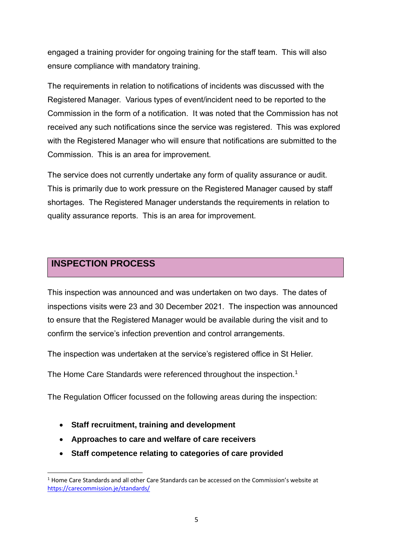engaged a training provider for ongoing training for the staff team. This will also ensure compliance with mandatory training.

The requirements in relation to notifications of incidents was discussed with the Registered Manager. Various types of event/incident need to be reported to the Commission in the form of a notification. It was noted that the Commission has not received any such notifications since the service was registered. This was explored with the Registered Manager who will ensure that notifications are submitted to the Commission. This is an area for improvement.

The service does not currently undertake any form of quality assurance or audit. This is primarily due to work pressure on the Registered Manager caused by staff shortages. The Registered Manager understands the requirements in relation to quality assurance reports. This is an area for improvement.

## **INSPECTION PROCESS**

This inspection was announced and was undertaken on two days. The dates of inspections visits were 23 and 30 December 2021. The inspection was announced to ensure that the Registered Manager would be available during the visit and to confirm the service's infection prevention and control arrangements.

The inspection was undertaken at the service's registered office in St Helier.

The Home Care Standards were referenced throughout the inspection.<sup>1</sup>

The Regulation Officer focussed on the following areas during the inspection:

- **Staff recruitment, training and development**
- **Approaches to care and welfare of care receivers**
- **Staff competence relating to categories of care provided**

<sup>&</sup>lt;sup>1</sup> Home Care Standards and all other Care Standards can be accessed on the Commission's website at <https://carecommission.je/standards/>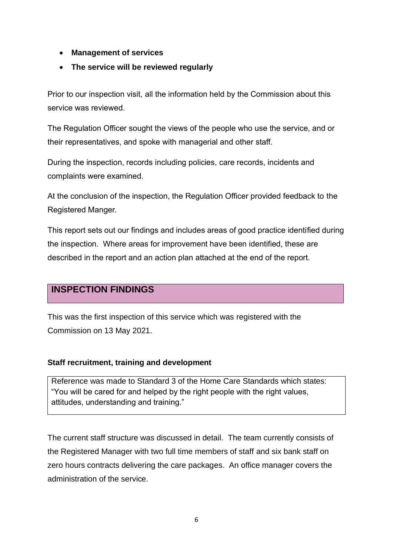- **Management of services**
- **The service will be reviewed regularly**

Prior to our inspection visit, all the information held by the Commission about this service was reviewed.

The Regulation Officer sought the views of the people who use the service, and or their representatives, and spoke with managerial and other staff.

During the inspection, records including policies, care records, incidents and complaints were examined.

At the conclusion of the inspection, the Regulation Officer provided feedback to the Registered Manger.

This report sets out our findings and includes areas of good practice identified during the inspection. Where areas for improvement have been identified, these are described in the report and an action plan attached at the end of the report.

## **INSPECTION FINDINGS**

This was the first inspection of this service which was registered with the Commission on 13 May 2021.

#### **Staff recruitment, training and development**

Reference was made to Standard 3 of the Home Care Standards which states: "You will be cared for and helped by the right people with the right values, attitudes, understanding and training."

The current staff structure was discussed in detail. The team currently consists of the Registered Manager with two full time members of staff and six bank staff on zero hours contracts delivering the care packages. An office manager covers the administration of the service.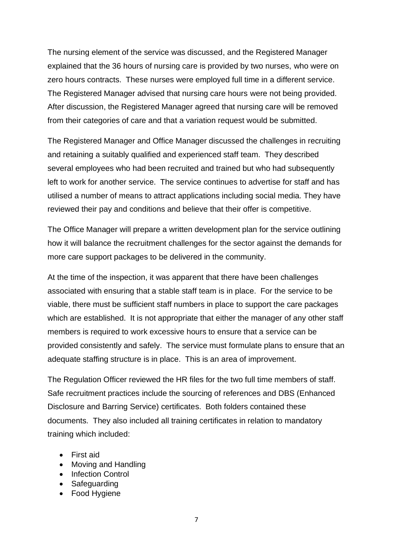The nursing element of the service was discussed, and the Registered Manager explained that the 36 hours of nursing care is provided by two nurses, who were on zero hours contracts. These nurses were employed full time in a different service. The Registered Manager advised that nursing care hours were not being provided. After discussion, the Registered Manager agreed that nursing care will be removed from their categories of care and that a variation request would be submitted.

The Registered Manager and Office Manager discussed the challenges in recruiting and retaining a suitably qualified and experienced staff team. They described several employees who had been recruited and trained but who had subsequently left to work for another service. The service continues to advertise for staff and has utilised a number of means to attract applications including social media. They have reviewed their pay and conditions and believe that their offer is competitive.

The Office Manager will prepare a written development plan for the service outlining how it will balance the recruitment challenges for the sector against the demands for more care support packages to be delivered in the community.

At the time of the inspection, it was apparent that there have been challenges associated with ensuring that a stable staff team is in place. For the service to be viable, there must be sufficient staff numbers in place to support the care packages which are established. It is not appropriate that either the manager of any other staff members is required to work excessive hours to ensure that a service can be provided consistently and safely. The service must formulate plans to ensure that an adequate staffing structure is in place. This is an area of improvement.

The Regulation Officer reviewed the HR files for the two full time members of staff. Safe recruitment practices include the sourcing of references and DBS (Enhanced Disclosure and Barring Service) certificates. Both folders contained these documents. They also included all training certificates in relation to mandatory training which included:

- First aid
- Moving and Handling
- Infection Control
- Safeguarding
- Food Hygiene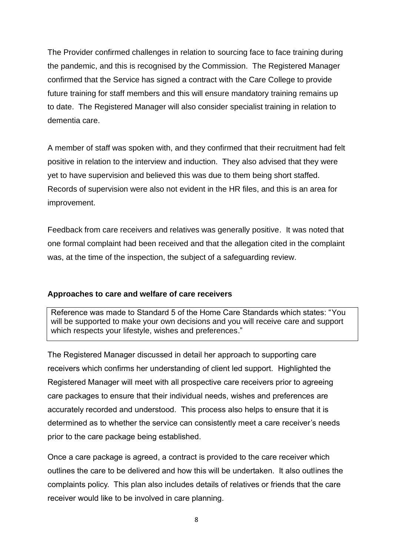The Provider confirmed challenges in relation to sourcing face to face training during the pandemic, and this is recognised by the Commission. The Registered Manager confirmed that the Service has signed a contract with the Care College to provide future training for staff members and this will ensure mandatory training remains up to date. The Registered Manager will also consider specialist training in relation to dementia care.

A member of staff was spoken with, and they confirmed that their recruitment had felt positive in relation to the interview and induction. They also advised that they were yet to have supervision and believed this was due to them being short staffed. Records of supervision were also not evident in the HR files, and this is an area for improvement.

Feedback from care receivers and relatives was generally positive. It was noted that one formal complaint had been received and that the allegation cited in the complaint was, at the time of the inspection, the subject of a safeguarding review.

#### **Approaches to care and welfare of care receivers**

Reference was made to Standard 5 of the Home Care Standards which states: "You will be supported to make your own decisions and you will receive care and support which respects your lifestyle, wishes and preferences."

The Registered Manager discussed in detail her approach to supporting care receivers which confirms her understanding of client led support. Highlighted the Registered Manager will meet with all prospective care receivers prior to agreeing care packages to ensure that their individual needs, wishes and preferences are accurately recorded and understood. This process also helps to ensure that it is determined as to whether the service can consistently meet a care receiver's needs prior to the care package being established.

Once a care package is agreed, a contract is provided to the care receiver which outlines the care to be delivered and how this will be undertaken. It also outlines the complaints policy. This plan also includes details of relatives or friends that the care receiver would like to be involved in care planning.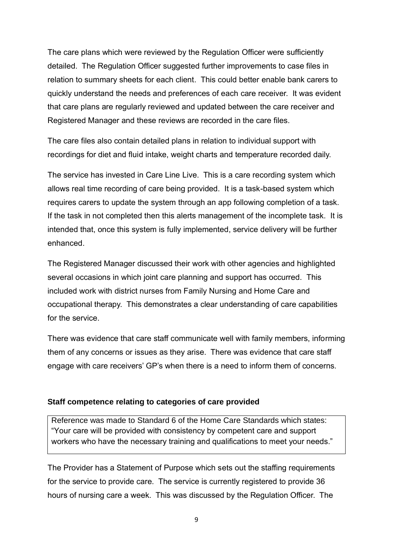The care plans which were reviewed by the Regulation Officer were sufficiently detailed. The Regulation Officer suggested further improvements to case files in relation to summary sheets for each client. This could better enable bank carers to quickly understand the needs and preferences of each care receiver. It was evident that care plans are regularly reviewed and updated between the care receiver and Registered Manager and these reviews are recorded in the care files.

The care files also contain detailed plans in relation to individual support with recordings for diet and fluid intake, weight charts and temperature recorded daily.

The service has invested in Care Line Live. This is a care recording system which allows real time recording of care being provided. It is a task-based system which requires carers to update the system through an app following completion of a task. If the task in not completed then this alerts management of the incomplete task. It is intended that, once this system is fully implemented, service delivery will be further enhanced.

The Registered Manager discussed their work with other agencies and highlighted several occasions in which joint care planning and support has occurred. This included work with district nurses from Family Nursing and Home Care and occupational therapy. This demonstrates a clear understanding of care capabilities for the service.

There was evidence that care staff communicate well with family members, informing them of any concerns or issues as they arise. There was evidence that care staff engage with care receivers' GP's when there is a need to inform them of concerns.

#### **Staff competence relating to categories of care provided**

Reference was made to Standard 6 of the Home Care Standards which states: "Your care will be provided with consistency by competent care and support workers who have the necessary training and qualifications to meet your needs."

The Provider has a Statement of Purpose which sets out the staffing requirements for the service to provide care. The service is currently registered to provide 36 hours of nursing care a week. This was discussed by the Regulation Officer. The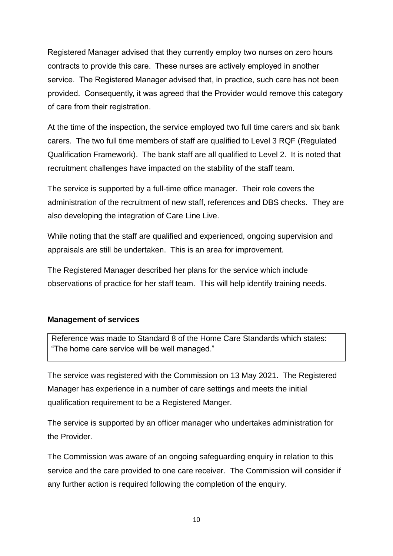Registered Manager advised that they currently employ two nurses on zero hours contracts to provide this care. These nurses are actively employed in another service. The Registered Manager advised that, in practice, such care has not been provided. Consequently, it was agreed that the Provider would remove this category of care from their registration.

At the time of the inspection, the service employed two full time carers and six bank carers. The two full time members of staff are qualified to Level 3 RQF (Regulated Qualification Framework). The bank staff are all qualified to Level 2. It is noted that recruitment challenges have impacted on the stability of the staff team.

The service is supported by a full-time office manager. Their role covers the administration of the recruitment of new staff, references and DBS checks. They are also developing the integration of Care Line Live.

While noting that the staff are qualified and experienced, ongoing supervision and appraisals are still be undertaken. This is an area for improvement.

The Registered Manager described her plans for the service which include observations of practice for her staff team. This will help identify training needs.

#### **Management of services**

Reference was made to Standard 8 of the Home Care Standards which states: "The home care service will be well managed."

The service was registered with the Commission on 13 May 2021. The Registered Manager has experience in a number of care settings and meets the initial qualification requirement to be a Registered Manger.

The service is supported by an officer manager who undertakes administration for the Provider.

The Commission was aware of an ongoing safeguarding enquiry in relation to this service and the care provided to one care receiver. The Commission will consider if any further action is required following the completion of the enquiry.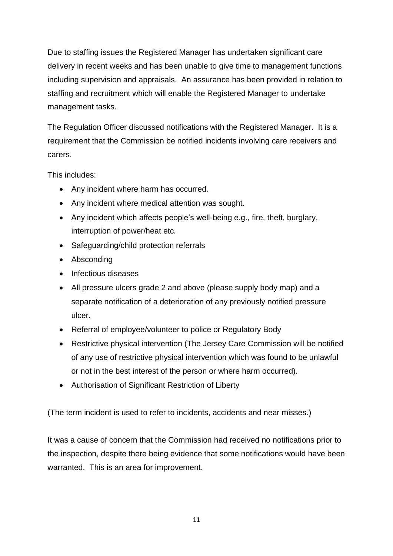Due to staffing issues the Registered Manager has undertaken significant care delivery in recent weeks and has been unable to give time to management functions including supervision and appraisals. An assurance has been provided in relation to staffing and recruitment which will enable the Registered Manager to undertake management tasks.

The Regulation Officer discussed notifications with the Registered Manager. It is a requirement that the Commission be notified incidents involving care receivers and carers.

This includes:

- Any incident where harm has occurred.
- Any incident where medical attention was sought.
- Any incident which affects people's well-being e.g., fire, theft, burglary, interruption of power/heat etc.
- Safeguarding/child protection referrals
- Absconding
- Infectious diseases
- All pressure ulcers grade 2 and above (please supply body map) and a separate notification of a deterioration of any previously notified pressure ulcer.
- Referral of employee/volunteer to police or Regulatory Body
- Restrictive physical intervention (The Jersey Care Commission will be notified of any use of restrictive physical intervention which was found to be unlawful or not in the best interest of the person or where harm occurred).
- Authorisation of Significant Restriction of Liberty

(The term incident is used to refer to incidents, accidents and near misses.)

It was a cause of concern that the Commission had received no notifications prior to the inspection, despite there being evidence that some notifications would have been warranted. This is an area for improvement.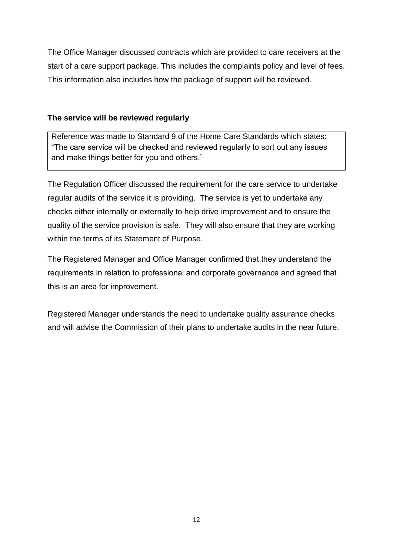The Office Manager discussed contracts which are provided to care receivers at the start of a care support package. This includes the complaints policy and level of fees. This information also includes how the package of support will be reviewed.

#### **The service will be reviewed regularly**

Reference was made to Standard 9 of the Home Care Standards which states: "The care service will be checked and reviewed regularly to sort out any issues and make things better for you and others."

The Regulation Officer discussed the requirement for the care service to undertake regular audits of the service it is providing. The service is yet to undertake any checks either internally or externally to help drive improvement and to ensure the quality of the service provision is safe. They will also ensure that they are working within the terms of its Statement of Purpose.

The Registered Manager and Office Manager confirmed that they understand the requirements in relation to professional and corporate governance and agreed that this is an area for improvement.

Registered Manager understands the need to undertake quality assurance checks and will advise the Commission of their plans to undertake audits in the near future.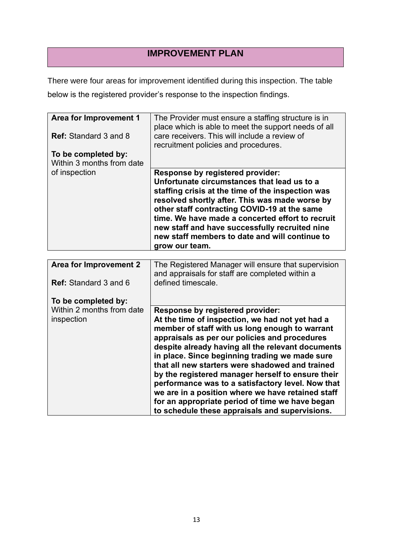## **IMPROVEMENT PLAN**

There were four areas for improvement identified during this inspection. The table below is the registered provider's response to the inspection findings.

| <b>Area for Improvement 1</b><br>Ref: Standard 3 and 8<br>To be completed by:<br>Within 3 months from date | The Provider must ensure a staffing structure is in<br>place which is able to meet the support needs of all<br>care receivers. This will include a review of<br>recruitment policies and procedures.                                                                                                                                                                                                                                                                                                                                                                                                                 |
|------------------------------------------------------------------------------------------------------------|----------------------------------------------------------------------------------------------------------------------------------------------------------------------------------------------------------------------------------------------------------------------------------------------------------------------------------------------------------------------------------------------------------------------------------------------------------------------------------------------------------------------------------------------------------------------------------------------------------------------|
| of inspection                                                                                              | Response by registered provider:<br>Unfortunate circumstances that lead us to a<br>staffing crisis at the time of the inspection was<br>resolved shortly after. This was made worse by<br>other staff contracting COVID-19 at the same<br>time. We have made a concerted effort to recruit<br>new staff and have successfully recruited nine<br>new staff members to date and will continue to<br>grow our team.                                                                                                                                                                                                     |
|                                                                                                            |                                                                                                                                                                                                                                                                                                                                                                                                                                                                                                                                                                                                                      |
| <b>Area for Improvement 2</b><br><b>Ref:</b> Standard 3 and 6                                              | The Registered Manager will ensure that supervision<br>and appraisals for staff are completed within a<br>defined timescale.                                                                                                                                                                                                                                                                                                                                                                                                                                                                                         |
|                                                                                                            |                                                                                                                                                                                                                                                                                                                                                                                                                                                                                                                                                                                                                      |
| To be completed by:                                                                                        |                                                                                                                                                                                                                                                                                                                                                                                                                                                                                                                                                                                                                      |
| Within 2 months from date<br>inspection                                                                    | Response by registered provider:<br>At the time of inspection, we had not yet had a<br>member of staff with us long enough to warrant<br>appraisals as per our policies and procedures<br>despite already having all the relevant documents<br>in place. Since beginning trading we made sure<br>that all new starters were shadowed and trained<br>by the registered manager herself to ensure their<br>performance was to a satisfactory level. Now that<br>we are in a position where we have retained staff<br>for an appropriate period of time we have began<br>to schedule these appraisals and supervisions. |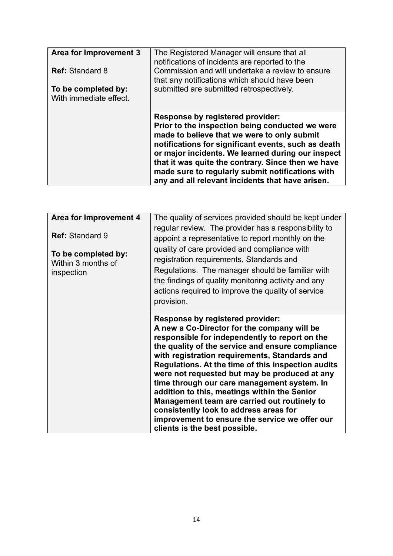| Area for Improvement 3<br><b>Ref: Standard 8</b><br>To be completed by:<br>With immediate effect. | The Registered Manager will ensure that all<br>notifications of incidents are reported to the<br>Commission and will undertake a review to ensure<br>that any notifications which should have been<br>submitted are submitted retrospectively.                                                                                                                                                                      |
|---------------------------------------------------------------------------------------------------|---------------------------------------------------------------------------------------------------------------------------------------------------------------------------------------------------------------------------------------------------------------------------------------------------------------------------------------------------------------------------------------------------------------------|
|                                                                                                   | <b>Response by registered provider:</b><br>Prior to the inspection being conducted we were<br>made to believe that we were to only submit<br>notifications for significant events, such as death<br>or major incidents. We learned during our inspect<br>that it was quite the contrary. Since then we have<br>made sure to regularly submit notifications with<br>any and all relevant incidents that have arisen. |

| Area for Improvement 4<br><b>Ref: Standard 9</b><br>To be completed by:<br>Within 3 months of<br>inspection | The quality of services provided should be kept under<br>regular review. The provider has a responsibility to<br>appoint a representative to report monthly on the<br>quality of care provided and compliance with<br>registration requirements, Standards and<br>Regulations. The manager should be familiar with<br>the findings of quality monitoring activity and any<br>actions required to improve the quality of service<br>provision.                                                                                                                                                                                    |
|-------------------------------------------------------------------------------------------------------------|----------------------------------------------------------------------------------------------------------------------------------------------------------------------------------------------------------------------------------------------------------------------------------------------------------------------------------------------------------------------------------------------------------------------------------------------------------------------------------------------------------------------------------------------------------------------------------------------------------------------------------|
|                                                                                                             | <b>Response by registered provider:</b><br>A new a Co-Director for the company will be<br>responsible for independently to report on the<br>the quality of the service and ensure compliance<br>with registration requirements, Standards and<br>Regulations. At the time of this inspection audits<br>were not requested but may be produced at any<br>time through our care management system. In<br>addition to this, meetings within the Senior<br>Management team are carried out routinely to<br>consistently look to address areas for<br>improvement to ensure the service we offer our<br>clients is the best possible. |